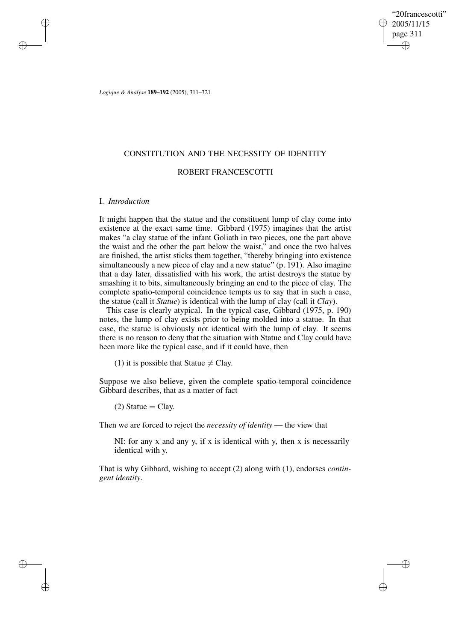"20francescotti" 2005/11/15 page 311 ✐ ✐

✐

✐

*Logique & Analyse* **189–192** (2005), 311–321

### CONSTITUTION AND THE NECESSITY OF IDENTITY

# ROBERT FRANCESCOTTI

### I. *Introduction*

✐

✐

✐

✐

It might happen that the statue and the constituent lump of clay come into existence at the exact same time. Gibbard (1975) imagines that the artist makes "a clay statue of the infant Goliath in two pieces, one the part above the waist and the other the part below the waist," and once the two halves are finished, the artist sticks them together, "thereby bringing into existence simultaneously a new piece of clay and a new statue" (p. 191). Also imagine that a day later, dissatisfied with his work, the artist destroys the statue by smashing it to bits, simultaneously bringing an end to the piece of clay. The complete spatio-temporal coincidence tempts us to say that in such a case, the statue (call it *Statue*) is identical with the lump of clay (call it *Clay*).

This case is clearly atypical. In the typical case, Gibbard (1975, p. 190) notes, the lump of clay exists prior to being molded into a statue. In that case, the statue is obviously not identical with the lump of clay. It seems there is no reason to deny that the situation with Statue and Clay could have been more like the typical case, and if it could have, then

(1) it is possible that Statue  $\neq$  Clay.

Suppose we also believe, given the complete spatio-temporal coincidence Gibbard describes, that as a matter of fact

 $(2)$  Statue = Clay.

Then we are forced to reject the *necessity of identity* — the view that

NI: for any  $x$  and any  $y$ , if  $x$  is identical with  $y$ , then  $x$  is necessarily identical with y.

That is why Gibbard, wishing to accept (2) along with (1), endorses *contingent identity*.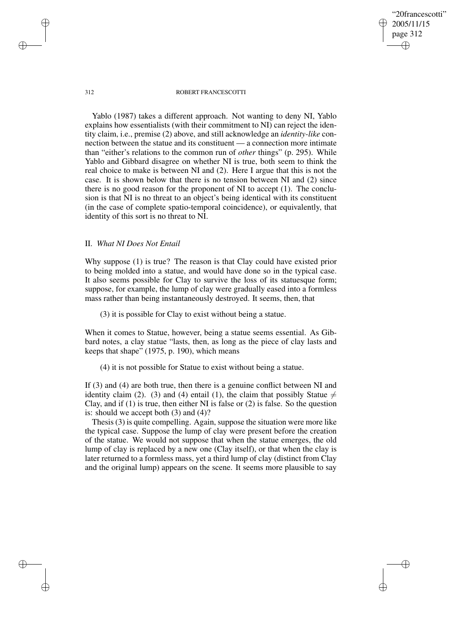"20francescotti" 2005/11/15 page 312 ✐ ✐

✐

✐

### 312 ROBERT FRANCESCOTTI

Yablo (1987) takes a different approach. Not wanting to deny NI, Yablo explains how essentialists (with their commitment to NI) can reject the identity claim, i.e., premise (2) above, and still acknowledge an *identity-like* connection between the statue and its constituent — a connection more intimate than "either's relations to the common run of *other* things" (p. 295). While Yablo and Gibbard disagree on whether NI is true, both seem to think the real choice to make is between NI and (2). Here I argue that this is not the case. It is shown below that there is no tension between NI and (2) since there is no good reason for the proponent of NI to accept (1). The conclusion is that NI is no threat to an object's being identical with its constituent (in the case of complete spatio-temporal coincidence), or equivalently, that identity of this sort is no threat to NI.

### II. *What NI Does Not Entail*

Why suppose (1) is true? The reason is that Clay could have existed prior to being molded into a statue, and would have done so in the typical case. It also seems possible for Clay to survive the loss of its statuesque form; suppose, for example, the lump of clay were gradually eased into a formless mass rather than being instantaneously destroyed. It seems, then, that

(3) it is possible for Clay to exist without being a statue.

When it comes to Statue, however, being a statue seems essential. As Gibbard notes, a clay statue "lasts, then, as long as the piece of clay lasts and keeps that shape" (1975, p. 190), which means

(4) it is not possible for Statue to exist without being a statue.

If (3) and (4) are both true, then there is a genuine conflict between NI and identity claim (2). (3) and (4) entail (1), the claim that possibly Statue  $\neq$ Clay, and if (1) is true, then either NI is false or (2) is false. So the question is: should we accept both (3) and (4)?

Thesis(3) is quite compelling. Again, suppose the situation were more like the typical case. Suppose the lump of clay were present before the creation of the statue. We would not suppose that when the statue emerges, the old lump of clay is replaced by a new one (Clay itself), or that when the clay is later returned to a formless mass, yet a third lump of clay (distinct from Clay and the original lump) appears on the scene. It seems more plausible to say

✐

✐

✐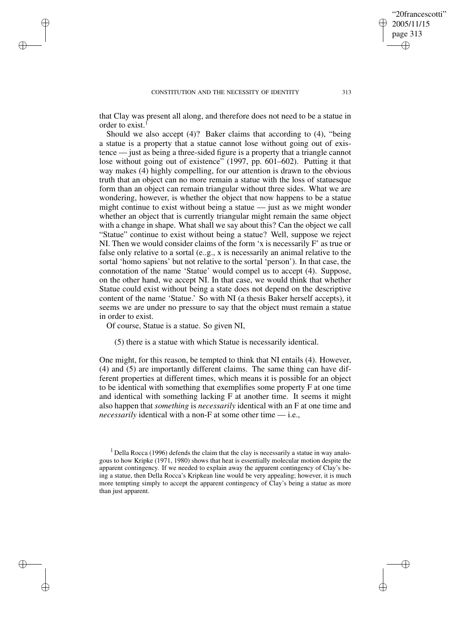that Clay was present all along, and therefore does not need to be a statue in order to exist.<sup>1</sup>

Should we also accept (4)? Baker claims that according to (4), "being a statue is a property that a statue cannot lose without going out of existence — just as being a three-sided figure is a property that a triangle cannot lose without going out of existence" (1997, pp. 601–602). Putting it that way makes (4) highly compelling, for our attention is drawn to the obvious truth that an object can no more remain a statue with the loss of statuesque form than an object can remain triangular without three sides. What we are wondering, however, is whether the object that now happens to be a statue might continue to exist without being a statue  $-$  just as we might wonder whether an object that is currently triangular might remain the same object with a change in shape. What shall we say about this? Can the object we call "Statue" continue to exist without being a statue? Well, suppose we reject NI. Then we would consider claims of the form 'x is necessarily F' as true or false only relative to a sortal (e..g., x is necessarily an animal relative to the sortal 'homo sapiens' but not relative to the sortal 'person'). In that case, the connotation of the name 'Statue' would compel us to accept (4). Suppose, on the other hand, we accept NI. In that case, we would think that whether Statue could exist without being a state does not depend on the descriptive content of the name 'Statue.' So with NI (a thesis Baker herself accepts), it seems we are under no pressure to say that the object must remain a statue in order to exist.

Of course, Statue is a statue. So given NI,

✐

✐

✐

✐

(5) there is a statue with which Statue is necessarily identical.

One might, for this reason, be tempted to think that NI entails (4). However, (4) and (5) are importantly different claims. The same thing can have different properties at different times, which means it is possible for an object to be identical with something that exemplifies some property F at one time and identical with something lacking F at another time. It seems it might also happen that *something* is *necessarily* identical with an F at one time and *necessarily* identical with a non-F at some other time — i.e.,

"20francescotti" 2005/11/15 page 313

✐

✐

✐

 $1$  Della Rocca (1996) defends the claim that the clay is necessarily a statue in way analogous to how Kripke (1971, 1980) shows that heat is essentially molecular motion despite the apparent contingency. If we needed to explain away the apparent contingency of Clay's being a statue, then Della Rocca's Kripkean line would be very appealing; however, it is much more tempting simply to accept the apparent contingency of Clay's being a statue as more than just apparent.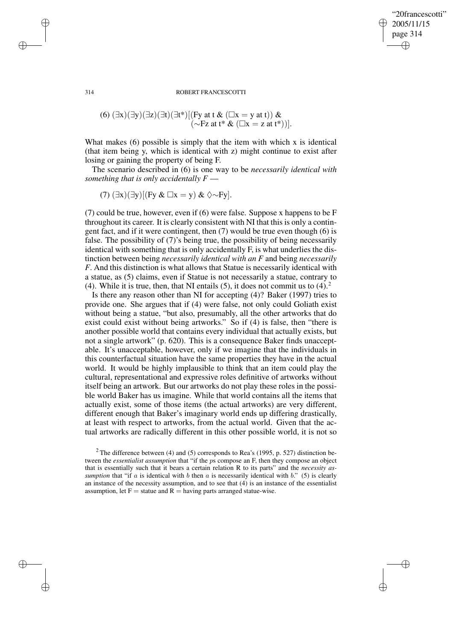### "20francescotti" 2005/11/15 page 314 ✐ ✐

✐

✐

#### 314 ROBERT FRANCESCOTTI

(6) 
$$
(\exists x)(\exists y)(\exists z)(\exists t)(\exists t^*)[(Fy \text{ at } t \& (\Box x = y \text{ at } t)) \& (\sim Fz \text{ at } t^* \& (\Box x = z \text{ at } t^*))].
$$

What makes (6) possible is simply that the item with which x is identical (that item being y, which is identical with z) might continue to exist after losing or gaining the property of being F.

The scenario described in (6) is one way to be *necessarily identical with something that is only accidentally F* —

(7) 
$$
(\exists x)(\exists y)[(Fy \& \Box x = y) \& \Diamond \sim Fy].
$$

(7) could be true, however, even if (6) were false. Suppose x happens to be F throughout its career. It is clearly consistent with NI that this is only a contingent fact, and if it were contingent, then (7) would be true even though (6) is false. The possibility of (7)'s being true, the possibility of being necessarily identical with something that is only accidentally F, is what underlies the distinction between being *necessarily identical with an F* and being *necessarily F*. And this distinction is what allows that Statue is necessarily identical with a statue, as (5) claims, even if Statue is not necessarily a statue, contrary to (4). While it is true, then, that NI entails (5), it does not commit us to  $(4)$ .<sup>2</sup>

Is there any reason other than NI for accepting (4)? Baker (1997) tries to provide one. She argues that if (4) were false, not only could Goliath exist without being a statue, "but also, presumably, all the other artworks that do exist could exist without being artworks." So if (4) is false, then "there is another possible world that contains every individual that actually exists, but not a single artwork" (p. 620). This is a consequence Baker finds unacceptable. It's unacceptable, however, only if we imagine that the individuals in this counterfactual situation have the same properties they have in the actual world. It would be highly implausible to think that an item could play the cultural, representational and expressive roles definitive of artworks without itself being an artwork. But our artworks do not play these roles in the possible world Baker has us imagine. While that world contains all the items that actually exist, some of those items (the actual artworks) are very different, different enough that Baker's imaginary world ends up differing drastically, at least with respect to artworks, from the actual world. Given that the actual artworks are radically different in this other possible world, it is not so

✐

✐

✐

<sup>&</sup>lt;sup>2</sup> The difference between (4) and (5) corresponds to Rea's (1995, p. 527) distinction between the *essentialist assumption* that "if the ps compose an F, then they compose an object that is essentially such that it bears a certain relation R to its parts" and the *necessity assumption* that "if a is identical with b then a is necessarily identical with b." (5) is clearly an instance of the necessity assumption, and to see that (4) is an instance of the essentialist assumption, let  $F =$  statue and  $R =$  having parts arranged statue-wise.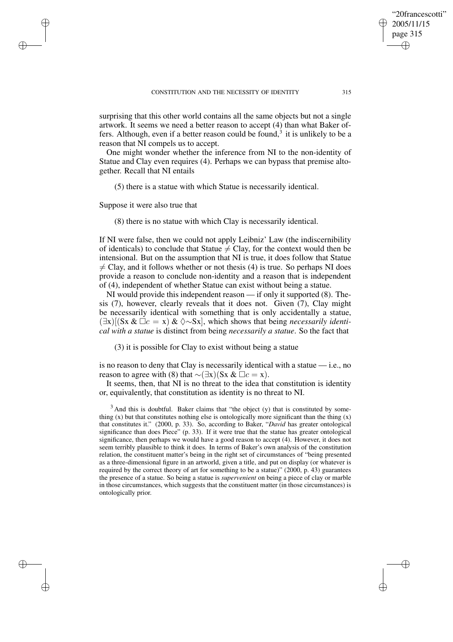surprising that this other world contains all the same objects but not a single artwork. It seems we need a better reason to accept (4) than what Baker offers. Although, even if a better reason could be found, $3$  it is unlikely to be a reason that NI compels us to accept.

One might wonder whether the inference from NI to the non-identity of Statue and Clay even requires (4). Perhaps we can bypass that premise altogether. Recall that NI entails

(5) there is a statue with which Statue is necessarily identical.

Suppose it were also true that

✐

✐

✐

✐

(8) there is no statue with which Clay is necessarily identical.

If NI were false, then we could not apply Leibniz' Law (the indiscernibility of identicals) to conclude that Statue  $\neq$  Clay, for the context would then be intensional. But on the assumption that NI is true, it does follow that Statue  $\neq$  Clay, and it follows whether or not thesis (4) is true. So perhaps NI does provide a reason to conclude non-identity and a reason that is independent of (4), independent of whether Statue can exist without being a statue.

NI would provide this independent reason — if only it supported (8). Thesis (7), however, clearly reveals that it does not. Given (7), Clay might be necessarily identical with something that is only accidentally a statue,  $(\exists x)[(Sx \& \Box c = x) \& \Diamond \sim Sx]$ , which shows that being *necessarily identical with a statue* is distinct from being *necessarily a statue*. So the fact that

(3) it is possible for Clay to exist without being a statue

is no reason to deny that Clay is necessarily identical with a statue  $-$  i.e., no reason to agree with (8) that  $\sim (\exists x)(Sx \& \Box c = x)$ .

It seems, then, that NI is no threat to the idea that constitution is identity or, equivalently, that constitution as identity is no threat to NI.

"20francescotti" 2005/11/15 page 315

✐

✐

✐

 $3$  And this is doubtful. Baker claims that "the object (y) that is constituted by something  $(x)$  but that constitutes nothing else is ontologically more significant than the thing  $(x)$ that constitutes it." (2000, p. 33). So, according to Baker, "*David* has greater ontological significance than does Piece" (p. 33). If it were true that the statue has greater ontological significance, then perhaps we would have a good reason to accept (4). However, it does not seem terribly plausible to think it does. In terms of Baker's own analysis of the constitution relation, the constituent matter's being in the right set of circumstances of "being presented as a three-dimensional figure in an artworld, given a title, and put on display (or whatever is required by the correct theory of art for something to be a statue)" (2000, p. 43) guarantees the presence of a statue. So being a statue is *supervenient* on being a piece of clay or marble in those circumstances, which suggests that the constituent matter (in those circumstances) is ontologically prior.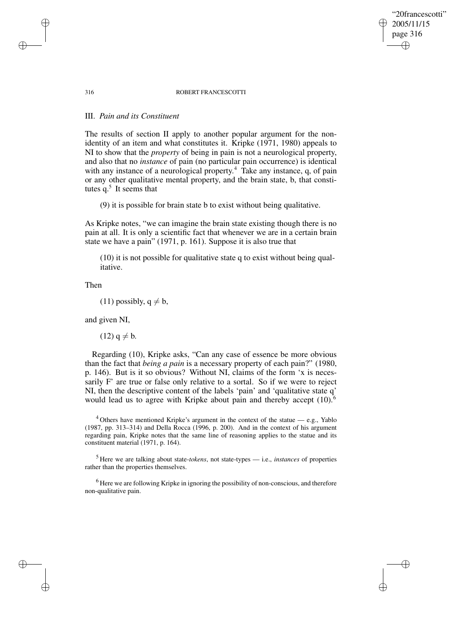#### 316 ROBERT FRANCESCOTTI

"20francescotti" 2005/11/15 page 316

✐

✐

✐

✐

# III. *Pain and its Constituent*

The results of section II apply to another popular argument for the nonidentity of an item and what constitutes it. Kripke (1971, 1980) appeals to NI to show that the *property* of being in pain is not a neurological property, and also that no *instance* of pain (no particular pain occurrence) is identical with any instance of a neurological property. <sup>4</sup> Take any instance, q, of pain or any other qualitative mental property, and the brain state, b, that constitutes  $q^5$ . It seems that

(9) it is possible for brain state b to exist without being qualitative.

As Kripke notes, "we can imagine the brain state existing though there is no pain at all. It is only a scientific fact that whenever we are in a certain brain state we have a pain" (1971, p. 161). Suppose it is also true that

(10) it is not possible for qualitative state q to exist without being qualitative.

Then

(11) possibly,  $q \neq b$ ,

and given NI,

 $(12)$  q  $\neq$  b.

Regarding (10), Kripke asks, "Can any case of essence be more obvious than the fact that *being a pain* is a necessary property of each pain?" (1980, p. 146). But is it so obvious? Without NI, claims of the form 'x is necessarily F' are true or false only relative to a sortal. So if we were to reject NI, then the descriptive content of the labels 'pain' and 'qualitative state q' would lead us to agree with Kripke about pain and thereby accept  $(10)$ <sup>6</sup>

 $4$ Others have mentioned Kripke's argument in the context of the statue  $-$  e.g., Yablo (1987, pp. 313–314) and Della Rocca (1996, p. 200). And in the context of his argument regarding pain, Kripke notes that the same line of reasoning applies to the statue and its constituent material (1971, p. 164).

<sup>5</sup> Here we are talking about state-*tokens*, not state-types — i.e., *instances* of properties rather than the properties themselves.

<sup>6</sup> Here we are following Kripke in ignoring the possibility of non-conscious, and therefore non-qualitative pain.

✐

✐

✐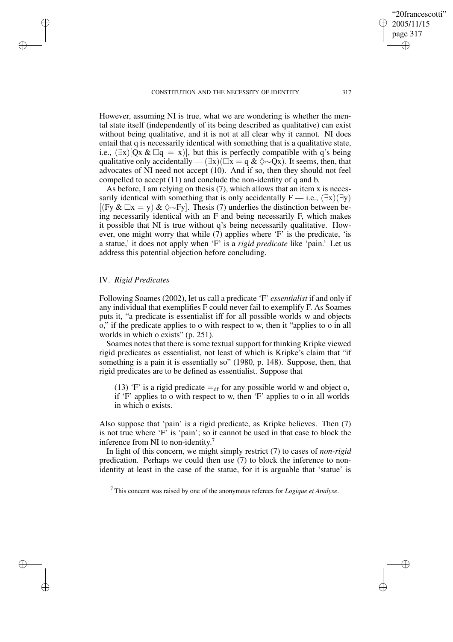However, assuming NI is true, what we are wondering is whether the mental state itself (independently of its being described as qualitative) can exist without being qualitative, and it is not at all clear why it cannot. NI does entail that q is necessarily identical with something that is a qualitative state, i.e.,  $(\exists x)[Qx \& \Box q = x)]$ , but this is perfectly compatible with q's being qualitative only accidentally —  $(\exists x)(\exists x = q \& \Diamond \sim Qx)$ . It seems, then, that advocates of NI need not accept (10). And if so, then they should not feel compelled to accept (11) and conclude the non-identity of q and b.

As before, I am relying on thesis (7), which allows that an item x is necessarily identical with something that is only accidentally  $F = i.e., (\exists x)(\exists y)$  $[(Fy \& \Box x = y) \& \Diamond \sim Fy]$ . Thesis (7) underlies the distinction between being necessarily identical with an F and being necessarily F, which makes it possible that NI is true without q's being necessarily qualitative. However, one might worry that while (7) applies where 'F' is the predicate, 'is a statue,' it does not apply when 'F' is a *rigid predicate* like 'pain.' Let us address this potential objection before concluding.

# IV. *Rigid Predicates*

✐

✐

✐

✐

Following Soames (2002), let us call a predicate 'F' *essentialist* if and only if any individual that exemplifies F could never fail to exemplify F. As Soames puts it, "a predicate is essentialist iff for all possible worlds w and objects o," if the predicate applies to o with respect to w, then it "applies to o in all worlds in which o exists" (p. 251).

Soames notes that there is some textual support for thinking Kripke viewed rigid predicates as essentialist, not least of which is Kripke's claim that "if something is a pain it is essentially so" (1980, p. 148). Suppose, then, that rigid predicates are to be defined as essentialist. Suppose that

(13) 'F' is a rigid predicate  $=_{df}$  for any possible world w and object o, if 'F' applies to o with respect to w, then 'F' applies to o in all worlds in which o exists.

Also suppose that 'pain' is a rigid predicate, as Kripke believes. Then (7) is not true where 'F' is 'pain'; so it cannot be used in that case to block the inference from NI to non-identity.<sup>7</sup>

In light of this concern, we might simply restrict (7) to cases of *non-rigid* predication. Perhaps we could then use (7) to block the inference to nonidentity at least in the case of the statue, for it is arguable that 'statue' is

<sup>7</sup> This concern was raised by one of the anonymous referees for *Logique et Analyse*.

"20francescotti" 2005/11/15 page 317

✐

✐

✐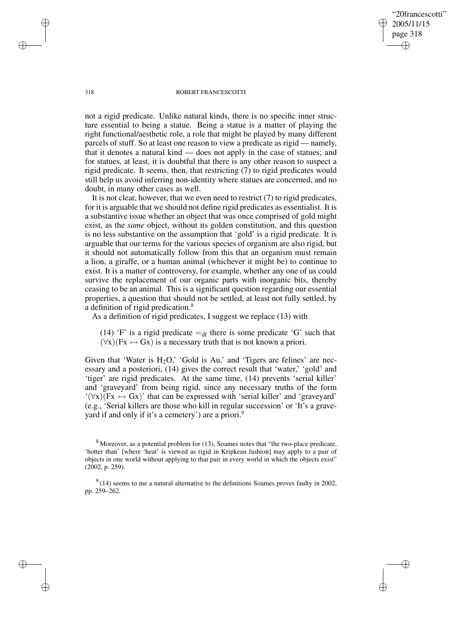"20francescotti" 2005/11/15 page 318 ✐ ✐

✐

✐

#### 318 ROBERT FRANCESCOTTI

not a rigid predicate. Unlike natural kinds, there is no specific inner structure essential to being a statue. Being a statue is a matter of playing the right functional/aesthetic role, a role that might be played by many different parcels of stuff. So at least one reason to view a predicate as rigid — namely, that it denotes a natural kind — does not apply in the case of statues; and for statues, at least, it is doubtful that there is any other reason to suspect a rigid predicate. It seems, then, that restricting (7) to rigid predicates would still help us avoid inferring non-identity where statues are concerned, and no doubt, in many other cases as well.

It is not clear, however, that we even need to restrict (7) to rigid predicates, for it is arguable that we should not define rigid predicates as essentialist. It is a substantive issue whether an object that was once comprised of gold might exist, as the *same* object, without its golden constitution, and this question is no less substantive on the assumption that 'gold' is a rigid predicate. It is arguable that our terms for the various species of organism are also rigid, but it should not automatically follow from this that an organism must remain a lion, a giraffe, or a human animal (whichever it might be) to continue to exist. It is a matter of controversy, for example, whether any one of us could survive the replacement of our organic parts with inorganic bits, thereby ceasing to be an animal. This is a significant question regarding our essential properties, a question that should not be settled, at least not fully settled, by a definition of rigid predication.<sup>8</sup>

As a definition of rigid predicates, I suggest we replace (13) with

(14) 'F' is a rigid predicate  $=_{df}$  there is some predicate 'G' such that  $(\forall x)(Fx \leftrightarrow Gx)$  is a necessary truth that is not known a priori.

Given that 'Water is  $H_2O$ ,' 'Gold is Au,' and 'Tigers are felines' are necessary and a posteriori, (14) gives the correct result that 'water,' 'gold' and 'tiger' are rigid predicates. At the same time, (14) prevents 'serial killer' and 'graveyard' from being rigid, since any necessary truths of the form  $\mathbf{f}(\forall x)(Fx \leftrightarrow Gx)$ ' that can be expressed with 'serial killer' and 'graveyard' (e.g., 'Serial killers are those who kill in regular succession' or 'It's a graveyard if and only if it's a cemetery') are a priori.<sup>9</sup>

✐

✐

✐

<sup>8</sup> Moreover, as a potential problem for (13), Soames notes that "the two-place predicate, 'hotter than' [where 'heat' is viewed as rigid in Kripkean fashion] may apply to a pair of objects in one world without applying to that pair in every world in which the objects exist" (2002, p. 259).

 $9<sup>9</sup>(14)$  seems to me a natural alternative to the definitions Soames proves faulty in 2002, pp. 259–262.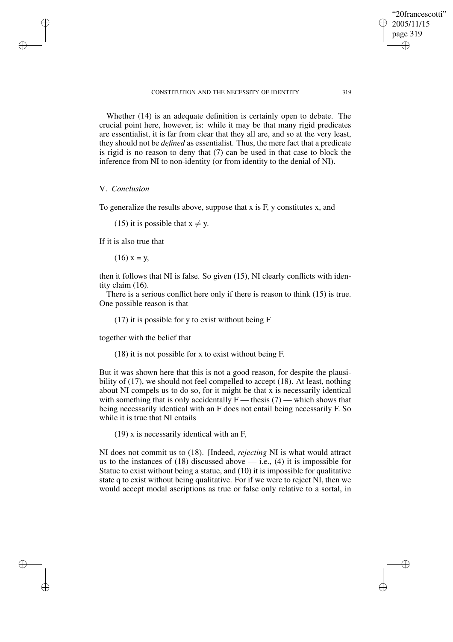#### CONSTITUTION AND THE NECESSITY OF IDENTITY 319

Whether (14) is an adequate definition is certainly open to debate. The crucial point here, however, is: while it may be that many rigid predicates are essentialist, it is far from clear that they all are, and so at the very least, they should not be *defined* as essentialist. Thus, the mere fact that a predicate is rigid is no reason to deny that (7) can be used in that case to block the inference from NI to non-identity (or from identity to the denial of NI).

# V. *Conclusion*

✐

✐

✐

✐

To generalize the results above, suppose that x is F, y constitutes x, and

(15) it is possible that  $x \neq y$ .

If it is also true that

 $(16)$  x = y,

then it follows that NI is false. So given (15), NI clearly conflicts with identity claim (16).

There is a serious conflict here only if there is reason to think (15) is true. One possible reason is that

(17) it is possible for y to exist without being F

together with the belief that

(18) it is not possible for x to exist without being F.

But it was shown here that this is not a good reason, for despite the plausibility of (17), we should not feel compelled to accept (18). At least, nothing about NI compels us to do so, for it might be that x is necessarily identical with something that is only accidentally  $F$  — thesis (7) — which shows that being necessarily identical with an F does not entail being necessarily F. So while it is true that NI entails

(19) x is necessarily identical with an F,

NI does not commit us to (18). [Indeed, *rejecting* NI is what would attract us to the instances of  $(18)$  discussed above — i.e.,  $(4)$  it is impossible for Statue to exist without being a statue, and (10) it is impossible for qualitative state q to exist without being qualitative. For if we were to reject NI, then we would accept modal ascriptions as true or false only relative to a sortal, in

"20francescotti" 2005/11/15 page 319

✐

✐

✐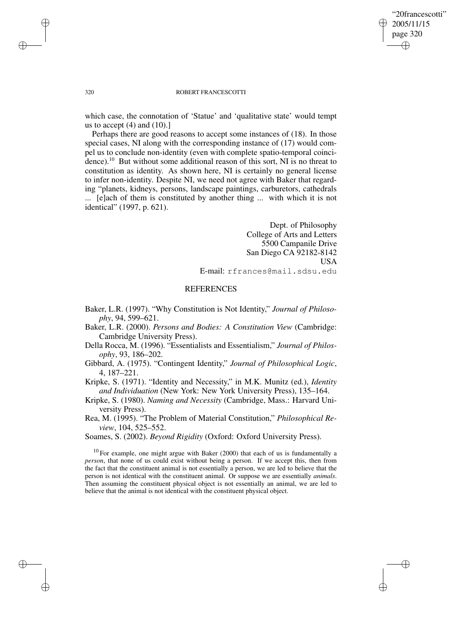✐

✐

#### 320 ROBERT FRANCESCOTTI

which case, the connotation of 'Statue' and 'qualitative state' would tempt us to accept  $(4)$  and  $(10).$ 

Perhaps there are good reasons to accept some instances of (18). In those special cases, NI along with the corresponding instance of (17) would compel us to conclude non-identity (even with complete spatio-temporal coincidence).<sup>10</sup> But without some additional reason of this sort, NI is no threat to constitution as identity. As shown here, NI is certainly no general license to infer non-identity. Despite NI, we need not agree with Baker that regarding "planets, kidneys, persons, landscape paintings, carburetors, cathedrals ... [e]ach of them is constituted by another thing ... with which it is not identical" (1997, p. 621).

> Dept. of Philosophy College of Arts and Letters 5500 Campanile Drive San Diego CA 92182-8142 USA E-mail: rfrances@mail.sdsu.edu

# **REFERENCES**

Baker, L.R. (1997). "Why Constitution is Not Identity," *Journal of Philosophy*, 94, 599–621.

Baker, L.R. (2000). *Persons and Bodies: A Constitution View* (Cambridge: Cambridge University Press).

Della Rocca, M. (1996). "Essentialists and Essentialism," *Journal of Philosophy*, 93, 186–202.

Gibbard, A. (1975). "Contingent Identity," *Journal of Philosophical Logic*, 4, 187–221.

Kripke, S. (1971). "Identity and Necessity," in M.K. Munitz (ed.), *Identity and Individuation* (New York: New York University Press), 135–164.

Kripke, S. (1980). *Naming and Necessity* (Cambridge, Mass.: Harvard University Press).

Rea, M. (1995). "The Problem of Material Constitution," *Philosophical Review*, 104, 525–552.

Soames, S. (2002). *Beyond Rigidity* (Oxford: Oxford University Press).

<sup>10</sup> For example, one might argue with Baker (2000) that each of us is fundamentally a *person*, that none of us could exist without being a person. If we accept this, then from the fact that the constituent animal is not essentially a person, we are led to believe that the person is not identical with the constituent animal. Or suppose we are essentially *animals*. Then assuming the constituent physical object is not essentially an animal, we are led to believe that the animal is not identical with the constituent physical object.

✐

 $\rightarrow$ 

✐